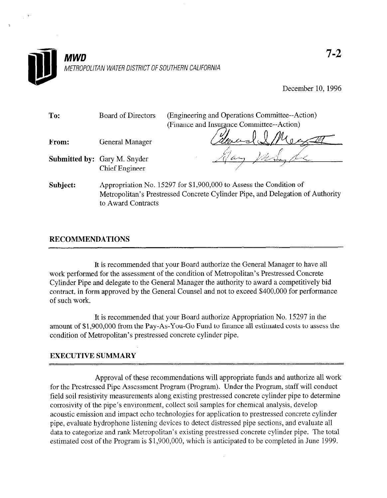

December 10, 1996

| To:      | <b>Board of Directors</b>           | (Engineering and Operations Committee--Action)                                                                                                       |  |  |  |  |
|----------|-------------------------------------|------------------------------------------------------------------------------------------------------------------------------------------------------|--|--|--|--|
|          |                                     | (Finance and Insurance Committee--Action)                                                                                                            |  |  |  |  |
| From:    | <b>General Manager</b>              |                                                                                                                                                      |  |  |  |  |
|          | <b>Submitted by:</b> Gary M. Snyder |                                                                                                                                                      |  |  |  |  |
|          | <b>Chief Engineer</b>               |                                                                                                                                                      |  |  |  |  |
| Subject: | to Award Contracts                  | Appropriation No. 15297 for \$1,900,000 to Assess the Condition of<br>Metropolitan's Prestressed Concrete Cylinder Pipe, and Delegation of Authority |  |  |  |  |

## RECOMMENDATIONS

It is recommended that your Board authorize the General Manager to have all who recommended that your board addition to Concrete Manager to have a work performed for the assessment of the condition of Metropolitan's Fresuessed Concrete Cylinder Pipe and delegate to the General Manager the authority to award a competitively bid contract, in form approved by the General Counsel and not to exceed \$400,000 for performance of such work.

It is recommended that your Board authorize Appropriation No. 15297 in the It is recommended that your Board authorize Appropriation No.  $15297$  in the amount of \$1,900,000 from the Pay-As-You-Go Fund to finance all estimated costs to assess the condition of Metropolitan's prestressed concrete cylinder pipe.

Approval of these recommendations will appropriate funds and authorize all work for the Prestressed Pipe Assessment Program (Program). Under the Program, staff will conduct field soil resistivity measurements along existing prestressed concrete cylinder pipe to determine corrosivity of the pipe's environment, collect soil samples for chemical analysis, develop acoustic emission and impact echo technologies for application to prestressed concrete cylinder pipe, evaluate hydrophone listening devices to detect distressed pipe sections, and evaluate all data to categorize and rank Metropolitan's existing prestressed concrete cylinder pipe. The total estimated cost of the Program is \$1,900,000, which is anticipated to be completed in June 1999.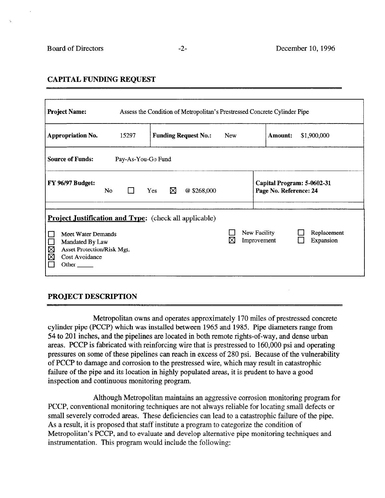### CAPITAL FUNDING REQUEST

| <b>Project Name:</b><br>Assess the Condition of Metropolitan's Prestressed Concrete Cylinder Pipe        |       |                                                               |            |                                                         |  |  |  |  |
|----------------------------------------------------------------------------------------------------------|-------|---------------------------------------------------------------|------------|---------------------------------------------------------|--|--|--|--|
| Appropriation No.                                                                                        | 15297 | <b>Funding Request No.:</b>                                   | <b>New</b> | <b>Amount:</b><br>\$1,900,000                           |  |  |  |  |
| <b>Source of Funds:</b><br>Pay-As-You-Go Fund                                                            |       |                                                               |            |                                                         |  |  |  |  |
| <b>FY 96/97 Budget:</b><br>⊠<br>@\$268,000<br>No<br>Yes<br>$\mathbf{L}$                                  |       |                                                               |            | Capital Program: 5-0602-31<br>Page No. Reference: 24    |  |  |  |  |
| Meet Water Demands<br>Mandated By Law<br>⊠<br>Asset Protection/Risk Mgt.<br>⊠<br>Cost Avoidance<br>Other |       | <b>Project Justification and Type:</b> (check all applicable) | ⊠          | New Facility<br>Replacement<br>Expansion<br>Improvement |  |  |  |  |

### PROJECT DESCRIPTION

Metropolitan owns and operates approximately 170 miles of prestressed concrete cylinder pipe (PCCP) which was installed between 1965 and 1985. Pipe diameters range from 54 to 201 inches, and the pipelines are located in both remote rights-of-way, and dense urban areas. PCCP is fabricated with reinforcing wire that is prestressed to 160,000 psi and operating pressures on some of these pipelines can reach in excess of 280 psi. Because of the vulnerability of PCCP to damage and corrosion to the prestressed wire, which may result in catastrophic failure of the pipe and its location in highly populated areas, it is prudent to have a good inspection and continuous monitoring program.

Although Metropolitan maintains an aggressive corrosion monitoring program for PCCP, conventional monitoring techniques are not always reliable for locating small defects or small severely corroded areas. These deficiencies can lead to a catastrophic failure of the pipe. As a result, it is proposed that staff institute a program to categorize the condition of Metropolitan's PCCP, and to evaluate and develop alternative pipe monitoring techniques and instrumentation. This program would include the following: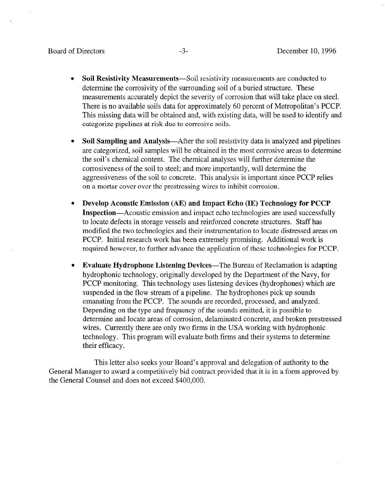- Soil Resistivity Measurements—Soil resistivity measurements are conducted to determine the corrosivity of the surrounding soil of a buried structure. These measurements accurately depict the severity of corrosion that will take place on steel. There is no available soils data for approximately 60 percent of Metropolitan's PCCP. This missing data will be obtained and, with existing data, will be used to identify and categorize pipelines at risk due to corrosive soils.
- Soil Sampling and Analysis—After the soil resistivity data is analyzed and pipelines are categorized, soil samples will be obtained in the most corrosive areas to determine the soil's chemical content. The chemical analyses will further determine the corrosiveness of the soil to steel; and more importantly, will determine the aggressiveness of the soil to concrete. This analysis is important since PCCP relies on a mortar cover over the prestressing wires to inhibit corrosion.
- <sup>l</sup>Develop Acoustic Emission (AE) and Impact Echo (IE) Technology for PCCP Inspection—Acoustic emission and impact echo technologies are used successfully to locate defects in storage vessels and reinforced concrete structures. Staff has modified the two technologies and their instrumentation to locate distressed areas on PCCP. Initial research work has been extremely promising. Additional work is required however, to further advance the application of these technologies for PCCP.
- **Evaluate Hydrophone Listening Devices—The Bureau of Reclamation is adapting** hydrophonic technology, originally developed by the Department of the Navy, for PCCP monitoring. This technology uses listening devices (hydrophones) which are suspended in the flow stream of a pipeline. The hydrophones pick up sounds emanating from the PCCP. The sounds are recorded, processed, and analyzed. Depending on the type and frequency of the sounds emitted, it is possible to determine and locate areas of corrosion, delaminated concrete, and broken prestressed wires. Currently there are only two firms in the USA working with hydrophonic technology. This program will evaluate both firms and their systems to determine their efficacy.

This letter also seeks your Board's approval and delegation of authority to the General Manager to award a competitively bid contract provided that it is in a form approved by the General Counsel and does not exceed \$400,000.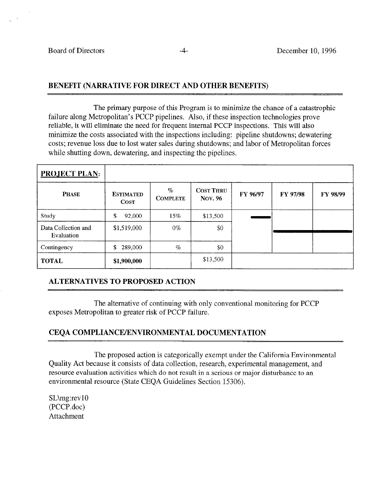## BENEFIT (NARRATIVE FOR DIRECT AND OTHER BENEFITS)

The primary purpose of this Program is to minimize the chance of a catastrophic failure along Metropolitan's PCCP pipelines. Also, if these inspection technologies prove reliable, it will eliminate the need for frequent internal PCCP inspections. This will also minimize the costs associated with the inspections including: pipeline shutdowns; dewatering costs; revenue loss due to lost water sales during shutdowns; and labor of Metropolitan forces while shutting down, dewatering, and inspecting the pipelines.

| <b>PROJECT PLAN:</b>              |                                 |                         |                             |          |          |                 |
|-----------------------------------|---------------------------------|-------------------------|-----------------------------|----------|----------|-----------------|
| <b>PHASE</b>                      | <b>ESTIMATED</b><br><b>COST</b> | $\%$<br><b>COMPLETE</b> | <b>COST THRU</b><br>Nov. 96 | FY 96/97 | FY 97/98 | <b>FY 98/99</b> |
| Study                             | \$<br>92,000                    | 15%                     | \$13,500                    |          |          |                 |
| Data Collection and<br>Evaluation | \$1,519,000                     | $0\%$                   | \$0                         |          |          |                 |
| Contingency                       | 289,000<br>\$                   | $\%$                    | \$0                         |          |          |                 |
| <b>TOTAL</b>                      | \$1,900,000                     |                         | \$13,500                    |          |          |                 |

## ALTERNATIVES TO PROPOSED ACTION

The alternative of continuing with only conventional monitoring for PCCP exposes Metropolitan to greater risk of PCCP failure.

## CEQA COMPLIANCEYENVIRONMENTAL DOCUMENTATION

The proposed action is categorically exempt under the California Environmental Quality Act because it consists of data collection, research, experimental management, and resource evaluation activities which do not result in a serious or major disturbance to an environmental resource (State CEQA Guidelines Section 15306).

SL\mg:rev 10 (PCCP.doc) Attachment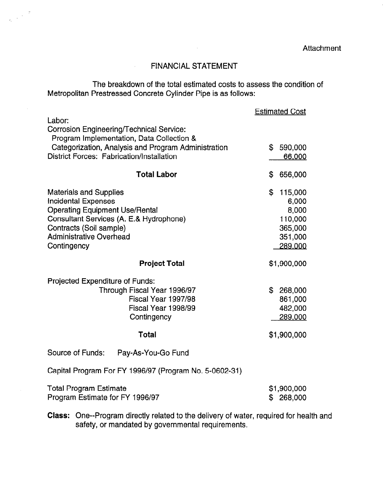**Attachment** 

# FINANCIAL STATEMENT

 $\sim 10^{11}$ 

The breakdown of the total estimated costs to assess the condition of Metropolitan Prestressed Concrete Cylinder Pipe is as follows:

 $\hat{\mathcal{A}}$ 

 $\frac{1}{2} \left( \frac{1}{2} \right)^{2} \frac{1}{2} \frac{d^2}{dx^2}$ 

|                                                                                                      | <b>Estimated Cost</b>           |
|------------------------------------------------------------------------------------------------------|---------------------------------|
| Labor:<br>Corrosion Engineering/Technical Service:<br>Program Implementation, Data Collection &      |                                 |
| Categorization, Analysis and Program Administration<br>District Forces: Fabrication/Installation     | \$<br>590,000<br><u>66,000</u>  |
|                                                                                                      |                                 |
| <b>Total Labor</b>                                                                                   | \$<br>656,000                   |
| <b>Materials and Supplies</b><br><b>Incidental Expenses</b><br><b>Operating Equipment Use/Rental</b> | \$<br>115,000<br>6,000<br>8,000 |
| Consultant Services (A. E.& Hydrophone)                                                              | 110,000                         |
| Contracts (Soil sample)                                                                              | 365,000                         |
| <b>Administrative Overhead</b>                                                                       | 351,000                         |
| Contingency                                                                                          | 289,000                         |
| <b>Project Total</b>                                                                                 | \$1,900,000                     |
| Projected Expenditure of Funds:<br>Through Fiscal Year 1996/97                                       | \$<br>268,000                   |
| Fiscal Year 1997/98                                                                                  | 861,000                         |
| Fiscal Year 1998/99                                                                                  | 482,000                         |
| Contingency                                                                                          | 289,000                         |
| <b>Total</b>                                                                                         | \$1,900,000                     |
| Source of Funds:<br>Pay-As-You-Go Fund                                                               |                                 |
| Capital Program For FY 1996/97 (Program No. 5-0602-31)                                               |                                 |
| <b>Total Program Estimate</b><br>Program Estimate for FY 1996/97                                     | \$1,900,000<br>268,000<br>S.    |

Class: One--Program directly related to the delivery of water, required for health and safety, or mandated by governmental requirements.